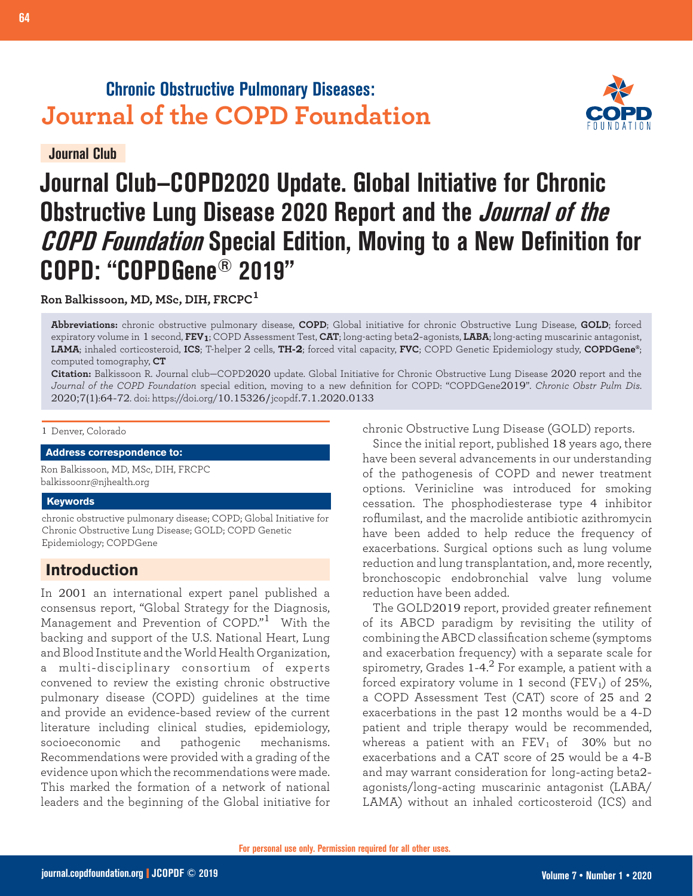## **Chronic Obstructive Pulmonary Diseases: Journal of the COPD Foundation**

**Journal Club**



# **Journal Club—COPD2020 Update. Global Initiative for Chronic Obstructive Lung Disease 2020 Report and the Journal of the COPD Foundation Special Edition, Moving to a New Definition for COPD: "COPDGene® 2019"**

**Ron Balkissoon, MD, MSc, DIH, FRCPC<sup>1</sup>**

**Abbreviations:** chronic obstructive pulmonary disease, **COPD**; Global initiative for chronic Obstructive Lung Disease, **GOLD**; forced expiratory volume in 1 second, **FEV1**; COPD Assessment Test, **CAT**; long-acting beta2-agonists, **LABA**; long-acting muscarinic antagonist, **LAMA**; inhaled corticosteroid, **ICS**; T-helper 2 cells, **TH-2**; forced vital capacity, **FVC**; COPD Genetic Epidemiology study, **COPDGene®**; computed tomography, **CT**

**Citation:** Balkissoon R. Journal club—COPD2020 update. Global Initiative for Chronic Obstructive Lung Disease 2020 report and the *Journal of the COPD Foundation* special edition, moving to a new definition for COPD: "COPDGene2019". *Chronic Obstr Pulm Dis*. 2020;7(1):64-72. doi: https://doi.org/10.15326/jcopdf.7.1.2020.0133

#### 1 Denver, Colorado

**Address correspondence to:**

Ron Balkissoon, MD, MSc, DIH, FRCPC balkissoonr@njhealth.org

#### **Keywords**

chronic obstructive pulmonary disease; COPD; Global Initiative for Chronic Obstructive Lung Disease; GOLD; COPD Genetic Epidemiology; COPDGene

## **Introduction**

In 2001 an international expert panel published a consensus report, "Global Strategy for the Diagnosis, Management and Prevention of COPD."<sup>1</sup> With the backing and support of the U.S. National Heart, Lung and Blood Institute and the World Health Organization, a multi-disciplinary consortium of experts convened to review the existing chronic obstructive pulmonary disease (COPD) guidelines at the time and provide an evidence-based review of the current literature including clinical studies, epidemiology, socioeconomic and pathogenic mechanisms. Recommendations were provided with a grading of the evidence upon which the recommendations were made. This marked the formation of a network of national leaders and the beginning of the Global initiative for

chronic Obstructive Lung Disease (GOLD) reports.

Since the initial report, published 18 years ago, there have been several advancements in our understanding of the pathogenesis of COPD and newer treatment options. Verinicline was introduced for smoking cessation. The phosphodiesterase type 4 inhibitor roflumilast, and the macrolide antibiotic azithromycin have been added to help reduce the frequency of exacerbations. Surgical options such as lung volume reduction and lung transplantation, and, more recently, bronchoscopic endobronchial valve lung volume reduction have been added.

The GOLD2019 report, provided greater refinement of its ABCD paradigm by revisiting the utility of combining the ABCD classification scheme (symptoms and exacerbation frequency) with a separate scale for spirometry, Grades 1-4. $^2$  For example, a patient with a forced expiratory volume in 1 second (FEV<sub>1</sub>) of 25%, a COPD Assessment Test (CAT) score of 25 and 2 exacerbations in the past 12 months would be a 4-D patient and triple therapy would be recommended, whereas a patient with an  $FEV<sub>1</sub>$  of 30% but no exacerbations and a CAT score of 25 would be a 4-B and may warrant consideration for long-acting beta2 agonists/long-acting muscarinic antagonist (LABA/ LAMA) without an inhaled corticosteroid (ICS) and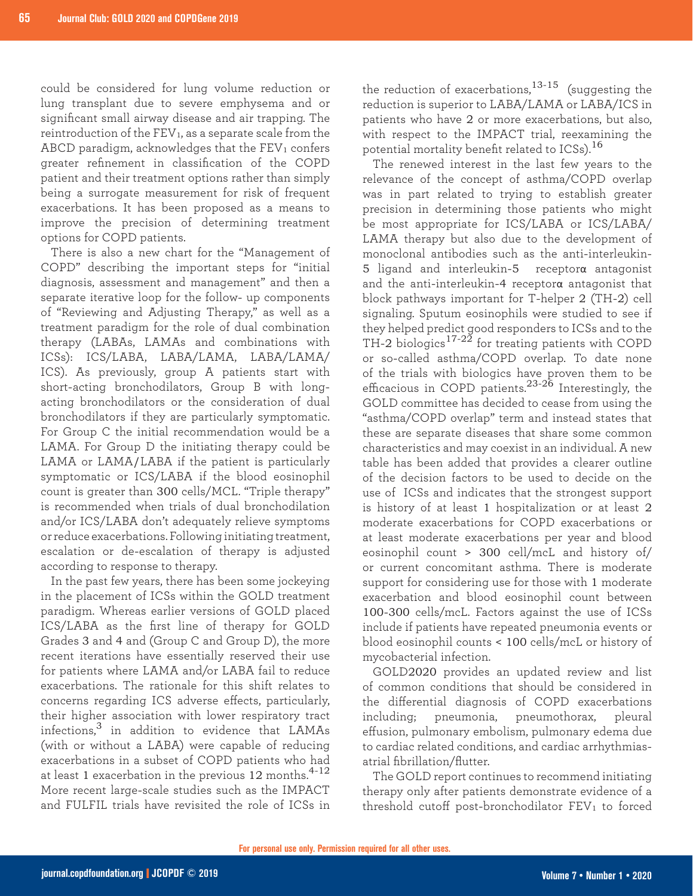could be considered for lung volume reduction or lung transplant due to severe emphysema and or significant small airway disease and air trapping. The reintroduction of the FEV<sub>1</sub>, as a separate scale from the ABCD paradigm, acknowledges that the  $FEV<sub>1</sub>$  confers greater refinement in classification of the COPD patient and their treatment options rather than simply being a surrogate measurement for risk of frequent exacerbations. It has been proposed as a means to improve the precision of determining treatment options for COPD patients.

There is also a new chart for the "Management of COPD" describing the important steps for "initial diagnosis, assessment and management" and then a separate iterative loop for the follow- up components of "Reviewing and Adjusting Therapy," as well as a treatment paradigm for the role of dual combination therapy (LABAs, LAMAs and combinations with ICSs): ICS/LABA, LABA/LAMA, LABA/LAMA/ ICS). As previously, group A patients start with short-acting bronchodilators, Group B with longacting bronchodilators or the consideration of dual bronchodilators if they are particularly symptomatic. For Group C the initial recommendation would be a LAMA. For Group D the initiating therapy could be LAMA or LAMA/LABA if the patient is particularly symptomatic or ICS/LABA if the blood eosinophil count is greater than 300 cells/MCL. "Triple therapy" is recommended when trials of dual bronchodilation and/or ICS/LABA don't adequately relieve symptoms or reduce exacerbations. Following initiating treatment, escalation or de-escalation of therapy is adjusted according to response to therapy.

In the past few years, there has been some jockeying in the placement of ICSs within the GOLD treatment paradigm. Whereas earlier versions of GOLD placed ICS/LABA as the first line of therapy for GOLD Grades 3 and 4 and (Group C and Group D), the more recent iterations have essentially reserved their use for patients where LAMA and/or LABA fail to reduce exacerbations. The rationale for this shift relates to concerns regarding ICS adverse effects, particularly, their higher association with lower respiratory tract infections,3 in addition to evidence that LAMAs (with or without a LABA) were capable of reducing exacerbations in a subset of COPD patients who had at least 1 exacerbation in the previous 12 months.<sup>4-12</sup> More recent large-scale studies such as the IMPACT and FULFIL trials have revisited the role of ICSs in

the reduction of exacerbations,  $13-15$  (suggesting the reduction is superior to LABA/LAMA or LABA/ICS in patients who have 2 or more exacerbations, but also, with respect to the IMPACT trial, reexamining the potential mortality benefit related to ICSs).<sup>16</sup>

The renewed interest in the last few years to the relevance of the concept of asthma/COPD overlap was in part related to trying to establish greater precision in determining those patients who might be most appropriate for ICS/LABA or ICS/LABA/ LAMA therapy but also due to the development of monoclonal antibodies such as the anti-interleukin-5 ligand and interleukin-5 receptorα antagonist and the anti-interleukin-4 receptor $\alpha$  antagonist that block pathways important for T-helper 2 (TH-2) cell signaling. Sputum eosinophils were studied to see if they helped predict good responders to ICSs and to the TH-2 biologics $^{17\text{-}22}$  for treating patients with COPD or so-called asthma/COPD overlap. To date none of the trials with biologics have proven them to be efficacious in COPD patients. $23-26$  Interestingly, the GOLD committee has decided to cease from using the "asthma/COPD overlap" term and instead states that these are separate diseases that share some common characteristics and may coexist in an individual. A new table has been added that provides a clearer outline of the decision factors to be used to decide on the use of ICSs and indicates that the strongest support is history of at least 1 hospitalization or at least 2 moderate exacerbations for COPD exacerbations or at least moderate exacerbations per year and blood eosinophil count > 300 cell/mcL and history of/ or current concomitant asthma. There is moderate support for considering use for those with 1 moderate exacerbation and blood eosinophil count between 100-300 cells/mcL. Factors against the use of ICSs include if patients have repeated pneumonia events or blood eosinophil counts < 100 cells/mcL or history of mycobacterial infection.

GOLD2020 provides an updated review and list of common conditions that should be considered in the differential diagnosis of COPD exacerbations including; pneumonia, pneumothorax, pleural effusion, pulmonary embolism, pulmonary edema due to cardiac related conditions, and cardiac arrhythmiasatrial fibrillation/flutter.

The GOLD report continues to recommend initiating therapy only after patients demonstrate evidence of a threshold cutoff post-bronchodilator  $FEV<sub>1</sub>$  to forced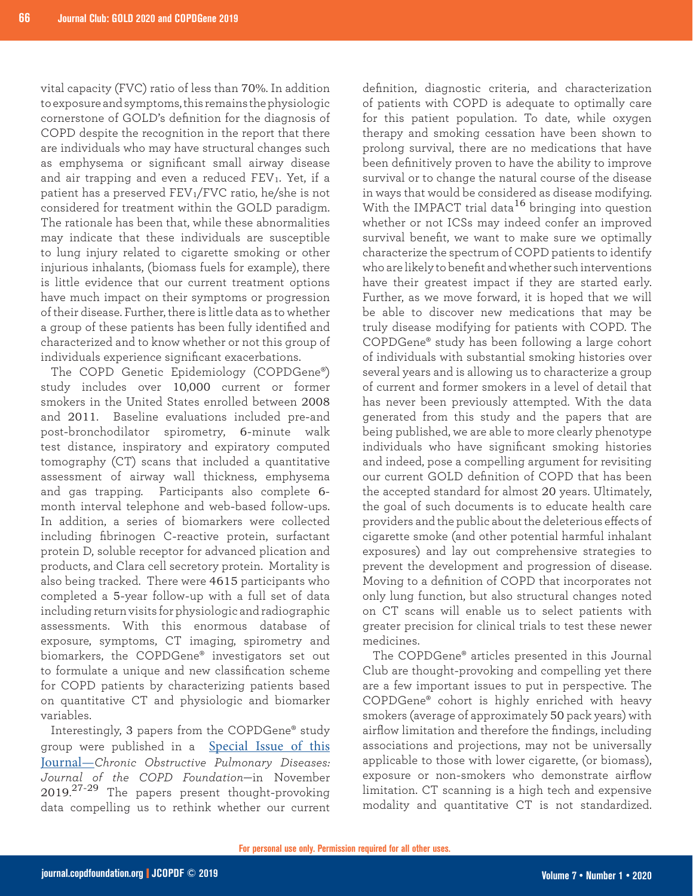vital capacity (FVC) ratio of less than 70%. In addition to exposure and symptoms, this remains the physiologic cornerstone of GOLD's definition for the diagnosis of COPD despite the recognition in the report that there are individuals who may have structural changes such as emphysema or significant small airway disease and air trapping and even a reduced  $FEV<sub>1</sub>$ . Yet, if a patient has a preserved FEV1/FVC ratio, he/she is not considered for treatment within the GOLD paradigm. The rationale has been that, while these abnormalities may indicate that these individuals are susceptible to lung injury related to cigarette smoking or other injurious inhalants, (biomass fuels for example), there is little evidence that our current treatment options have much impact on their symptoms or progression of their disease. Further, there is little data as to whether a group of these patients has been fully identified and characterized and to know whether or not this group of individuals experience significant exacerbations.

The COPD Genetic Epidemiology (COPDGene®) study includes over 10,000 current or former smokers in the United States enrolled between 2008 and 2011. Baseline evaluations included pre-and post-bronchodilator spirometry, 6-minute walk test distance, inspiratory and expiratory computed tomography (CT) scans that included a quantitative assessment of airway wall thickness, emphysema and gas trapping. Participants also complete 6 month interval telephone and web-based follow-ups. In addition, a series of biomarkers were collected including fibrinogen C-reactive protein, surfactant protein D, soluble receptor for advanced plication and products, and Clara cell secretory protein. Mortality is also being tracked. There were 4615 participants who completed a 5-year follow-up with a full set of data including return visits for physiologic and radiographic assessments. With this enormous database of exposure, symptoms, CT imaging, spirometry and biomarkers, the COPDGene® investigators set out to formulate a unique and new classification scheme for COPD patients by characterizing patients based on quantitative CT and physiologic and biomarker variables.

Interestingly, 3 papers from the COPDGene® study group were published in a [Special Issue of this](https://journal.copdfoundation.org/2019Special-Issue)  Journal—*[Chronic Obstructive Pulmonary Diseases:](https://journal.copdfoundation.org/2019Special-Issue)  [Journal of the COPD Foundation](https://journal.copdfoundation.org/2019Special-Issue)*—in November 2019.<sup>27-29</sup> The papers present thought-provoking data compelling us to rethink whether our current

definition, diagnostic criteria, and characterization of patients with COPD is adequate to optimally care for this patient population. To date, while oxygen therapy and smoking cessation have been shown to prolong survival, there are no medications that have been definitively proven to have the ability to improve survival or to change the natural course of the disease in ways that would be considered as disease modifying. With the IMPACT trial data<sup>16</sup> bringing into question whether or not ICSs may indeed confer an improved survival benefit, we want to make sure we optimally characterize the spectrum of COPD patients to identify who are likely to benefit and whether such interventions have their greatest impact if they are started early. Further, as we move forward, it is hoped that we will be able to discover new medications that may be truly disease modifying for patients with COPD. The COPDGene® study has been following a large cohort of individuals with substantial smoking histories over several years and is allowing us to characterize a group of current and former smokers in a level of detail that has never been previously attempted. With the data generated from this study and the papers that are being published, we are able to more clearly phenotype individuals who have significant smoking histories and indeed, pose a compelling argument for revisiting our current GOLD definition of COPD that has been the accepted standard for almost 20 years. Ultimately, the goal of such documents is to educate health care providers and the public about the deleterious effects of cigarette smoke (and other potential harmful inhalant exposures) and lay out comprehensive strategies to prevent the development and progression of disease. Moving to a definition of COPD that incorporates not only lung function, but also structural changes noted on CT scans will enable us to select patients with greater precision for clinical trials to test these newer medicines.

The COPDGene® articles presented in this Journal Club are thought-provoking and compelling yet there are a few important issues to put in perspective. The COPDGene® cohort is highly enriched with heavy smokers (average of approximately 50 pack years) with airflow limitation and therefore the findings, including associations and projections, may not be universally applicable to those with lower cigarette, (or biomass), exposure or non-smokers who demonstrate airflow limitation. CT scanning is a high tech and expensive modality and quantitative CT is not standardized.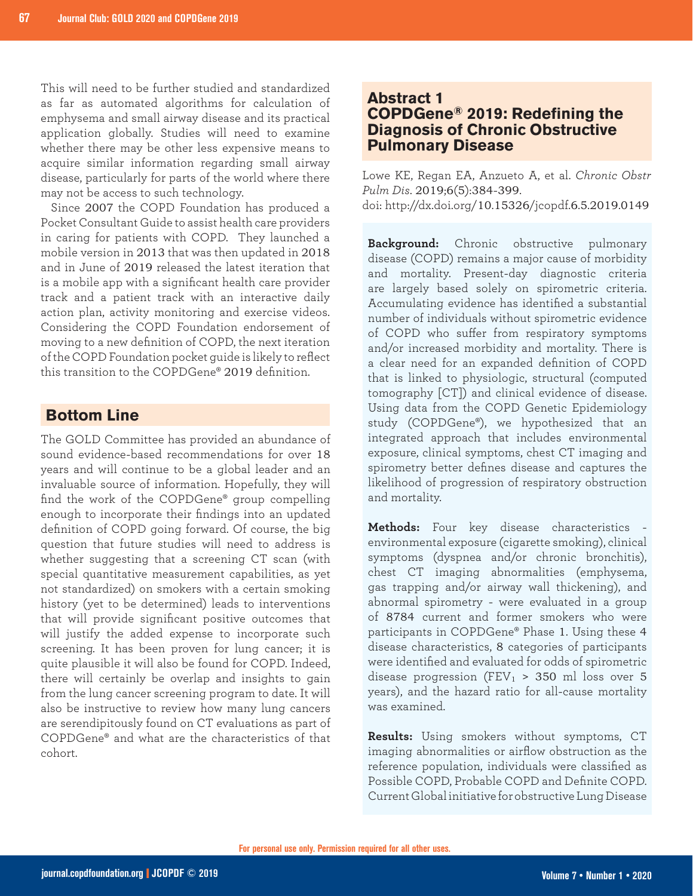This will need to be further studied and standardized as far as automated algorithms for calculation of emphysema and small airway disease and its practical application globally. Studies will need to examine whether there may be other less expensive means to acquire similar information regarding small airway disease, particularly for parts of the world where there may not be access to such technology.

Since 2007 the COPD Foundation has produced a Pocket Consultant Guide to assist health care providers in caring for patients with COPD. They launched a mobile version in 2013 that was then updated in 2018 and in June of 2019 released the latest iteration that is a mobile app with a significant health care provider track and a patient track with an interactive daily action plan, activity monitoring and exercise videos. Considering the COPD Foundation endorsement of moving to a new definition of COPD, the next iteration of the COPD Foundation pocket guide is likely to reflect this transition to the COPDGene® 2019 definition.

#### **Bottom Line**

The GOLD Committee has provided an abundance of sound evidence-based recommendations for over 18 years and will continue to be a global leader and an invaluable source of information. Hopefully, they will find the work of the COPDGene® group compelling enough to incorporate their findings into an updated definition of COPD going forward. Of course, the big question that future studies will need to address is whether suggesting that a screening CT scan (with special quantitative measurement capabilities, as yet not standardized) on smokers with a certain smoking history (yet to be determined) leads to interventions that will provide significant positive outcomes that will justify the added expense to incorporate such screening. It has been proven for lung cancer; it is quite plausible it will also be found for COPD. Indeed, there will certainly be overlap and insights to gain from the lung cancer screening program to date. It will also be instructive to review how many lung cancers are serendipitously found on CT evaluations as part of COPDGene® and what are the characteristics of that cohort.

#### **Abstract 1 COPDGene® 2019: Redefining the Diagnosis of Chronic Obstructive Pulmonary Disease**

Lowe KE, Regan EA, Anzueto A, et al. *Chronic Obstr Pulm Dis*. 2019;6(5):384-399. doi: http://dx.doi.org/10.15326/jcopdf.6.5.2019.0149

**Background:** Chronic obstructive pulmonary disease (COPD) remains a major cause of morbidity and mortality. Present-day diagnostic criteria are largely based solely on spirometric criteria. Accumulating evidence has identified a substantial number of individuals without spirometric evidence of COPD who suffer from respiratory symptoms and/or increased morbidity and mortality. There is a clear need for an expanded definition of COPD that is linked to physiologic, structural (computed tomography [CT]) and clinical evidence of disease. Using data from the COPD Genetic Epidemiology study (COPDGene®), we hypothesized that an integrated approach that includes environmental exposure, clinical symptoms, chest CT imaging and spirometry better defines disease and captures the likelihood of progression of respiratory obstruction and mortality.

**Methods:** Four key disease characteristics environmental exposure (cigarette smoking), clinical symptoms (dyspnea and/or chronic bronchitis), chest CT imaging abnormalities (emphysema, gas trapping and/or airway wall thickening), and abnormal spirometry - were evaluated in a group of 8784 current and former smokers who were participants in COPDGene® Phase 1. Using these 4 disease characteristics, 8 categories of participants were identified and evaluated for odds of spirometric disease progression (FEV<sub>1</sub> > 350 ml loss over 5 years), and the hazard ratio for all-cause mortality was examined.

**Results:** Using smokers without symptoms, CT imaging abnormalities or airflow obstruction as the reference population, individuals were classified as Possible COPD, Probable COPD and Definite COPD. Current Global initiative for obstructive Lung Disease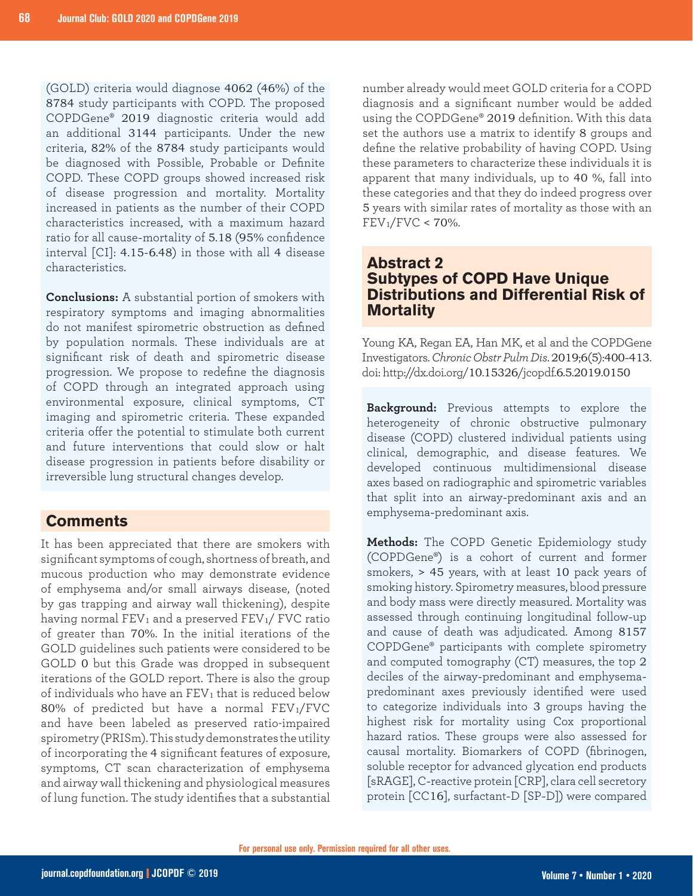(GOLD) criteria would diagnose 4062 (46%) of the 8784 study participants with COPD. The proposed COPDGene® 2019 diagnostic criteria would add an additional 3144 participants. Under the new criteria, 82% of the 8784 study participants would be diagnosed with Possible, Probable or Definite COPD. These COPD groups showed increased risk of disease progression and mortality. Mortality increased in patients as the number of their COPD characteristics increased, with a maximum hazard ratio for all cause-mortality of 5.18 (95% confidence interval [CI]: 4.15-6.48) in those with all 4 disease characteristics.

**Conclusions:** A substantial portion of smokers with respiratory symptoms and imaging abnormalities do not manifest spirometric obstruction as defined by population normals. These individuals are at significant risk of death and spirometric disease progression. We propose to redefine the diagnosis of COPD through an integrated approach using environmental exposure, clinical symptoms, CT imaging and spirometric criteria. These expanded criteria offer the potential to stimulate both current and future interventions that could slow or halt disease progression in patients before disability or irreversible lung structural changes develop.

## **Comments**

It has been appreciated that there are smokers with significant symptoms of cough, shortness of breath, and mucous production who may demonstrate evidence of emphysema and/or small airways disease, (noted by gas trapping and airway wall thickening), despite having normal  $FEV_1$  and a preserved  $FEV_1$ /  $FVC$  ratio of greater than 70%. In the initial iterations of the GOLD guidelines such patients were considered to be GOLD 0 but this Grade was dropped in subsequent iterations of the GOLD report. There is also the group of individuals who have an  $FEV<sub>1</sub>$  that is reduced below 80% of predicted but have a normal  $FEV_1/FVC$ and have been labeled as preserved ratio-impaired spirometry (PRISm). This study demonstrates the utility of incorporating the 4 significant features of exposure, symptoms, CT scan characterization of emphysema and airway wall thickening and physiological measures of lung function. The study identifies that a substantial

number already would meet GOLD criteria for a COPD diagnosis and a significant number would be added using the COPDGene® 2019 definition. With this data set the authors use a matrix to identify 8 groups and define the relative probability of having COPD. Using these parameters to characterize these individuals it is apparent that many individuals, up to 40 %, fall into these categories and that they do indeed progress over 5 years with similar rates of mortality as those with an  $FEV_1/FVC < 70\%$ .

## **Abstract 2 Subtypes of COPD Have Unique Distributions and Differential Risk of Mortality**

Young KA, Regan EA, Han MK, et al and the COPDGene Investigators. *Chronic Obstr Pulm Dis*. 2019;6(5):400-413. doi: http://dx.doi.org/10.15326/jcopdf.6.5.2019.0150

**Background:** Previous attempts to explore the heterogeneity of chronic obstructive pulmonary disease (COPD) clustered individual patients using clinical, demographic, and disease features. We developed continuous multidimensional disease axes based on radiographic and spirometric variables that split into an airway-predominant axis and an emphysema-predominant axis.

**Methods:** The COPD Genetic Epidemiology study (COPDGene®) is a cohort of current and former smokers, > 45 years, with at least 10 pack years of smoking history. Spirometry measures, blood pressure and body mass were directly measured. Mortality was assessed through continuing longitudinal follow-up and cause of death was adjudicated. Among 8157 COPDGene® participants with complete spirometry and computed tomography (CT) measures, the top 2 deciles of the airway-predominant and emphysemapredominant axes previously identified were used to categorize individuals into 3 groups having the highest risk for mortality using Cox proportional hazard ratios. These groups were also assessed for causal mortality. Biomarkers of COPD (fibrinogen, soluble receptor for advanced glycation end products [sRAGE], C-reactive protein [CRP], clara cell secretory protein [CC16], surfactant-D [SP-D]) were compared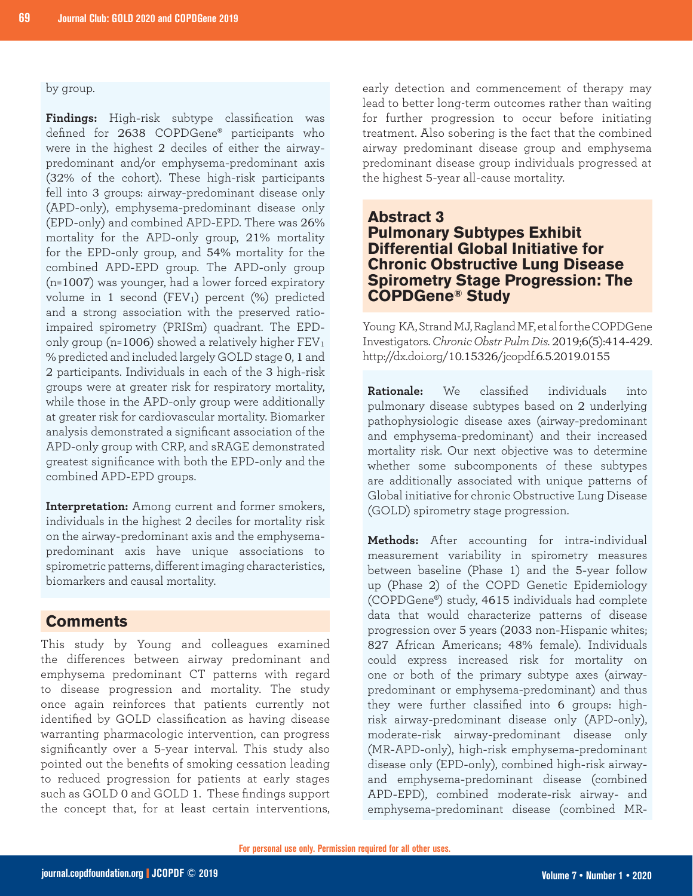#### by group.

**Findings:** High-risk subtype classification was defined for 2638 COPDGene® participants who were in the highest 2 deciles of either the airwaypredominant and/or emphysema-predominant axis (32% of the cohort). These high-risk participants fell into 3 groups: airway-predominant disease only (APD-only), emphysema-predominant disease only (EPD-only) and combined APD-EPD. There was 26% mortality for the APD-only group, 21% mortality for the EPD-only group, and 54% mortality for the combined APD-EPD group. The APD-only group (n=1007) was younger, had a lower forced expiratory volume in 1 second (FEV<sub>1</sub>) percent  $(\%)$  predicted and a strong association with the preserved ratioimpaired spirometry (PRISm) quadrant. The EPDonly group (n=1006) showed a relatively higher  $FEV<sub>1</sub>$ % predicted and included largely GOLD stage 0, 1 and 2 participants. Individuals in each of the 3 high-risk groups were at greater risk for respiratory mortality, while those in the APD-only group were additionally at greater risk for cardiovascular mortality. Biomarker analysis demonstrated a significant association of the APD-only group with CRP, and sRAGE demonstrated greatest significance with both the EPD-only and the combined APD-EPD groups.

**Interpretation:** Among current and former smokers, individuals in the highest 2 deciles for mortality risk on the airway-predominant axis and the emphysemapredominant axis have unique associations to spirometric patterns, different imaging characteristics, biomarkers and causal mortality.

#### **Comments**

This study by Young and colleagues examined the differences between airway predominant and emphysema predominant CT patterns with regard to disease progression and mortality. The study once again reinforces that patients currently not identified by GOLD classification as having disease warranting pharmacologic intervention, can progress significantly over a 5-year interval. This study also pointed out the benefits of smoking cessation leading to reduced progression for patients at early stages such as GOLD 0 and GOLD 1. These findings support the concept that, for at least certain interventions, early detection and commencement of therapy may lead to better long-term outcomes rather than waiting for further progression to occur before initiating treatment. Also sobering is the fact that the combined airway predominant disease group and emphysema predominant disease group individuals progressed at the highest 5-year all-cause mortality.

#### **Abstract 3 Pulmonary Subtypes Exhibit Differential Global Initiative for Chronic Obstructive Lung Disease Spirometry Stage Progression: The COPDGene® Study**

Young KA, Strand MJ, Ragland MF, et al for the COPDGene Investigators. *Chronic Obstr Pulm Dis.* 2019;6(5):414-429. http://dx.doi.org/10.15326/jcopdf.6.5.2019.0155

**Rationale:** We classified individuals into pulmonary disease subtypes based on 2 underlying pathophysiologic disease axes (airway-predominant and emphysema-predominant) and their increased mortality risk. Our next objective was to determine whether some subcomponents of these subtypes are additionally associated with unique patterns of Global initiative for chronic Obstructive Lung Disease (GOLD) spirometry stage progression.

**Methods:** After accounting for intra-individual measurement variability in spirometry measures between baseline (Phase 1) and the 5-year follow up (Phase 2) of the COPD Genetic Epidemiology (COPDGene®) study, 4615 individuals had complete data that would characterize patterns of disease progression over 5 years (2033 non-Hispanic whites; 827 African Americans; 48% female). Individuals could express increased risk for mortality on one or both of the primary subtype axes (airwaypredominant or emphysema-predominant) and thus they were further classified into 6 groups: highrisk airway-predominant disease only (APD-only), moderate-risk airway-predominant disease only (MR-APD-only), high-risk emphysema-predominant disease only (EPD-only), combined high-risk airwayand emphysema-predominant disease (combined APD-EPD), combined moderate-risk airway- and emphysema-predominant disease (combined MR-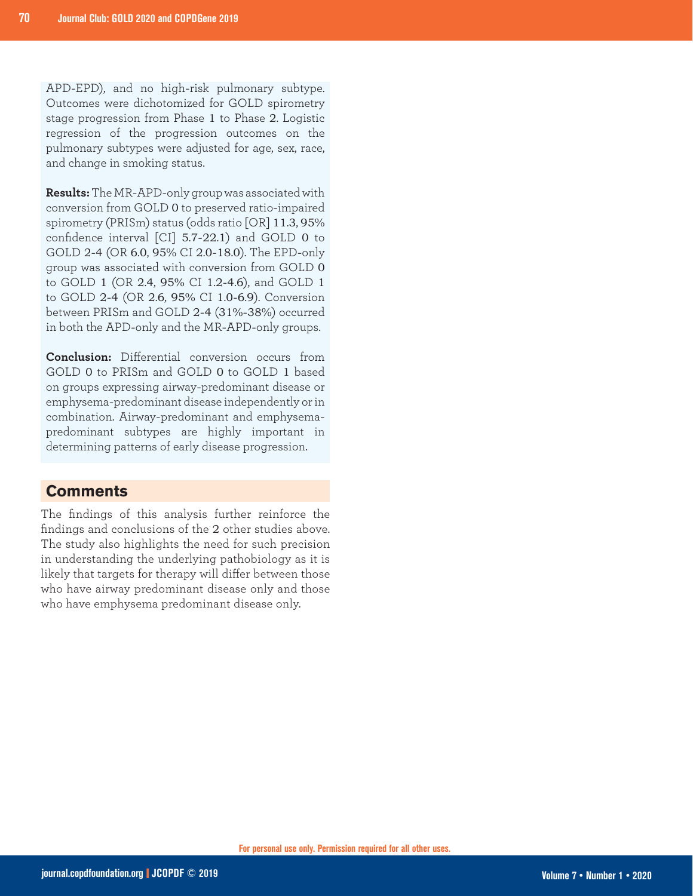APD-EPD), and no high-risk pulmonary subtype. Outcomes were dichotomized for GOLD spirometry stage progression from Phase 1 to Phase 2. Logistic regression of the progression outcomes on the pulmonary subtypes were adjusted for age, sex, race, and change in smoking status.

**Results:** The MR-APD-only group was associated with conversion from GOLD 0 to preserved ratio-impaired spirometry (PRISm) status (odds ratio [OR] 11.3, 95% confidence interval [CI] 5.7-22.1) and GOLD 0 to GOLD 2-4 (OR 6.0, 95% CI 2.0-18.0). The EPD-only group was associated with conversion from GOLD 0 to GOLD 1 (OR 2.4, 95% CI 1.2-4.6), and GOLD 1 to GOLD 2-4 (OR 2.6, 95% CI 1.0-6.9). Conversion between PRISm and GOLD 2-4 (31%-38%) occurred in both the APD-only and the MR-APD-only groups.

**Conclusion:** Differential conversion occurs from GOLD 0 to PRISm and GOLD 0 to GOLD 1 based on groups expressing airway-predominant disease or emphysema-predominant disease independently or in combination. Airway-predominant and emphysemapredominant subtypes are highly important in determining patterns of early disease progression.

#### **Comments**

The findings of this analysis further reinforce the findings and conclusions of the 2 other studies above. The study also highlights the need for such precision in understanding the underlying pathobiology as it is likely that targets for therapy will differ between those who have airway predominant disease only and those who have emphysema predominant disease only.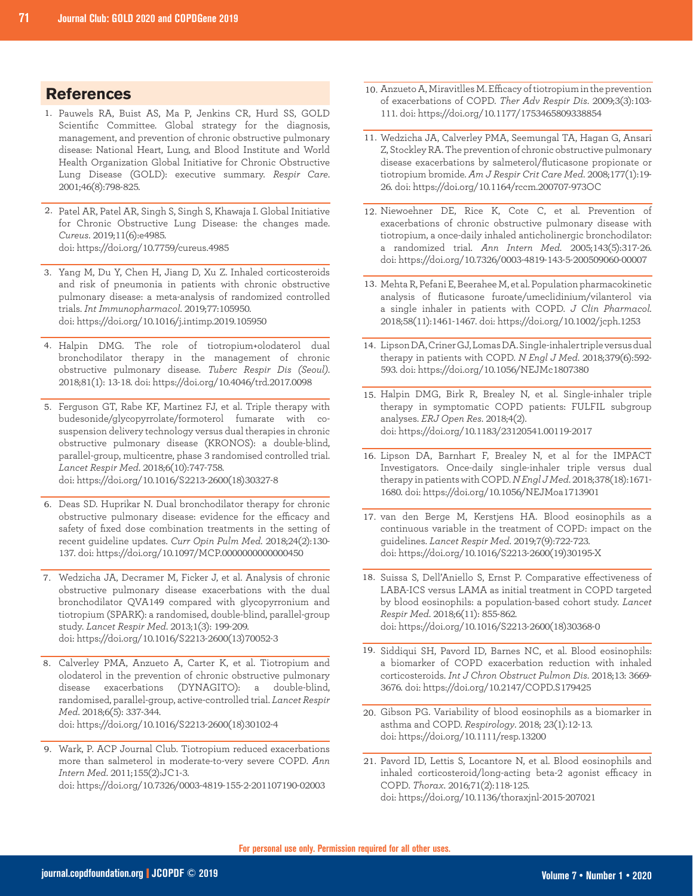#### **References**

- 1. Pauwels RA, Buist AS, Ma P, Jenkins CR, Hurd SS, GOLD Scientific Committee. Global strategy for the diagnosis, management, and prevention of chronic obstructive pulmonary disease: National Heart, Lung, and Blood Institute and World Health Organization Global Initiative for Chronic Obstructive Lung Disease (GOLD): executive summary. *Respir Care*. 2001;46(8):798-825.
- 2. Patel AR, Patel AR, Singh S, Singh S, Khawaja I. Global Initiative for Chronic Obstructive Lung Disease: the changes made. *Cureus*. 2019;11(6):e4985. doi: https://doi.org/10.7759/cureus.4985
- 3. Yang M, Du Y, Chen H, Jiang D, Xu Z. Inhaled corticosteroids and risk of pneumonia in patients with chronic obstructive pulmonary disease: a meta-analysis of randomized controlled trials. *Int Immunopharmacol*. 2019;77:105950. doi: https://doi.org/10.1016/j.intimp.2019.105950
- 4. Halpin DMG. The role of tiotropium+olodaterol dual bronchodilator therapy in the management of chronic obstructive pulmonary disease. *Tuberc Respir Dis (Seoul)*. 2018;81(1): 13-18. doi: https://doi.org/10.4046/trd.2017.0098
- 5. Ferguson GT, Rabe KF, Martinez FJ, et al. Triple therapy with budesonide/glycopyrrolate/formoterol fumarate with cosuspension delivery technology versus dual therapies in chronic obstructive pulmonary disease (KRONOS): a double-blind, parallel-group, multicentre, phase 3 randomised controlled trial. *Lancet Respir Med*. 2018;6(10):747-758. doi: https://doi.org/10.1016/S2213-2600(18)30327-8
- Deas SD. Huprikar N. Dual bronchodilator therapy for chronic 6. obstructive pulmonary disease: evidence for the efficacy and safety of fixed dose combination treatments in the setting of recent guideline updates. *Curr Opin Pulm Med*. 2018;24(2):130- 137. doi: https://doi.org/10.1097/MCP.0000000000000450
- Wedzicha JA, Decramer M, Ficker J, et al. Analysis of chronic 7. obstructive pulmonary disease exacerbations with the dual bronchodilator QVA149 compared with glycopyrronium and tiotropium (SPARK): a randomised, double-blind, parallel-group study. *Lancet Respir Med*. 2013;1(3): 199-209. doi: https://doi.org/10.1016/S2213-2600(13)70052-3
- Calverley PMA, Anzueto A, Carter K, et al. Tiotropium and 8. olodaterol in the prevention of chronic obstructive pulmonary disease exacerbations (DYNAGITO): a double-blind, randomised, parallel-group, active-controlled trial. *Lancet Respir Med*. 2018;6(5): 337-344. doi: https://doi.org/10.1016/S2213-2600(18)30102-4
- Wark, P. ACP Journal Club. Tiotropium reduced exacerbations 9. more than salmeterol in moderate-to-very severe COPD. *Ann Intern Med*. 2011;155(2):JC1-3. doi: https://doi.org/10.7326/0003-4819-155-2-201107190-02003
- 10. Anzueto A, Miravitlles M. Efficacy of tiotropium in the prevention of exacerbations of COPD. *Ther Adv Respir Dis*. 2009;3(3):103- 111. doi: https://doi.org/10.1177/1753465809338854
- 11. Wedzicha JA, Calverley PMA, Seemungal TA, Hagan G, Ansari Z, Stockley RA. The prevention of chronic obstructive pulmonary disease exacerbations by salmeterol/fluticasone propionate or tiotropium bromide. *Am J Respir Crit Care Med*. 2008;177(1):19- 26. doi: https://doi.org/10.1164/rccm.200707-973OC
- 12. Niewoehner DE, Rice K, Cote C, et al. Prevention of exacerbations of chronic obstructive pulmonary disease with tiotropium, a once-daily inhaled anticholinergic bronchodilator: a randomized trial. *Ann Intern Med*. 2005;143(5):317-26. doi: https://doi.org/10.7326/0003-4819-143-5-200509060-00007
- 13. Mehta R, Pefani E, Beerahee M, et al. Population pharmacokinetic analysis of fluticasone furoate/umeclidinium/vilanterol via a single inhaler in patients with COPD. *J Clin Pharmacol.* 2018;58(11):1461-1467. doi: https://doi.org/10.1002/jcph.1253
- 14. Lipson DA, Criner GJ, Lomas DA. Single-inhaler triple versus dual therapy in patients with COPD. *N Engl J Med*. 2018;379(6):592- 593. doi: https://doi.org/10.1056/NEJMc1807380
- 15. Halpin DMG, Birk R, Brealey N, et al. Single-inhaler triple therapy in symptomatic COPD patients: FULFIL subgroup analyses. *ERJ Open Res*. 2018;4(2). doi: https://doi.org/10.1183/23120541.00119-2017
- 16. Lipson DA, Barnhart F, Brealey N, et al for the IMPACT Investigators. Once-daily single-inhaler triple versus dual therapy in patients with COPD. *N Engl J Med*. 2018;378(18):1671- 1680. doi: https://doi.org/10.1056/NEJMoa1713901
- 17. van den Berge M, Kerstjens HA. Blood eosinophils as a continuous variable in the treatment of COPD: impact on the guidelines. *Lancet Respir Med*. 2019;7(9):722-723. doi: https://doi.org/10.1016/S2213-2600(19)30195-X
- 18. Suissa S, Dell'Aniello S, Ernst P. Comparative effectiveness of LABA-ICS versus LAMA as initial treatment in COPD targeted by blood eosinophils: a population-based cohort study. *Lancet Respir Med*. 2018;6(11): 855-862. doi: https://doi.org/10.1016/S2213-2600(18)30368-0
- 19. Siddiqui SH, Pavord ID, Barnes NC, et al. Blood eosinophils: a biomarker of COPD exacerbation reduction with inhaled corticosteroids. *Int J Chron Obstruct Pulmon Dis*. 2018;13: 3669- 3676. doi: https://doi.org/10.2147/COPD.S179425
- 20. Gibson PG. Variability of blood eosinophils as a biomarker in asthma and COPD. *Respirology*. 2018; 23(1):12-13. doi: https://doi.org/10.1111/resp.13200
- 21. Pavord ID, Lettis S, Locantore N, et al. Blood eosinophils and inhaled corticosteroid/long-acting beta-2 agonist efficacy in COPD. *Thorax*. 2016;71(2):118-125. doi: https://doi.org/10.1136/thoraxjnl-2015-207021